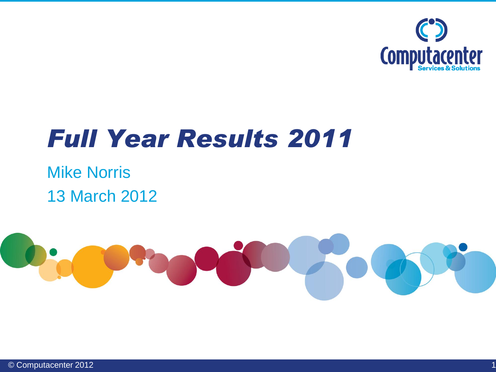

### *Full Year Results 2011*

### Mike Norris 13 March 2012

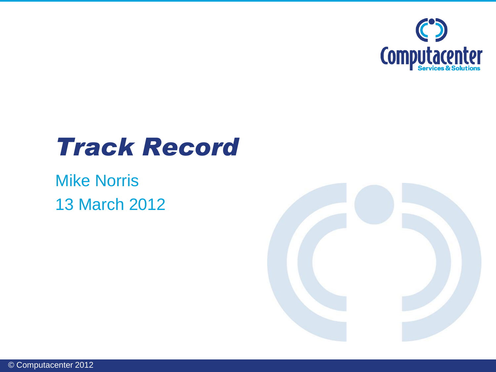

### *Track Record*

### Mike Norris 13 March 2012

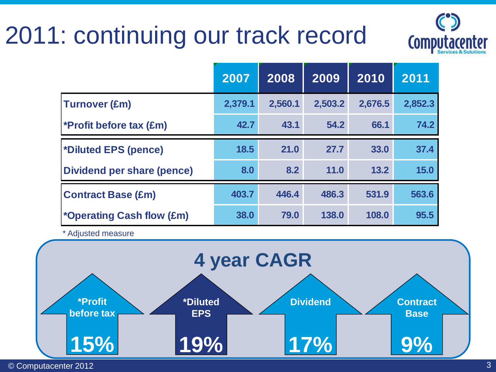### 2011: continuing our track record



|                                  | 2007    | 2008    | 2009    | 2010    | 2011    |
|----------------------------------|---------|---------|---------|---------|---------|
| <b>Turnover (£m)</b>             | 2,379.1 | 2,560.1 | 2,503.2 | 2,676.5 | 2,852.3 |
| <b>*Profit before tax (£m)</b>   | 42.7    | 43.1    | 54.2    | 66.1    | 74.2    |
| *Diluted EPS (pence)             | 18.5    | 21.0    | 27.7    | 33.0    | 37.4    |
| Dividend per share (pence)       | 8.0     | 8.2     | 11.0    | 13.2    | 15.0    |
| <b>Contract Base (£m)</b>        | 403.7   | 446.4   | 486.3   | 531.9   | 563.6   |
| <i>*Operating Cash flow (£m)</i> | 38.0    | 79.0    | 138.0   | 108.0   | 95.5    |

\* Adjusted measure



© Computacenter 2012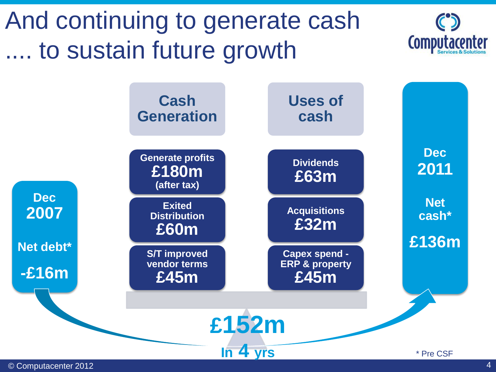

© Computacenter 2012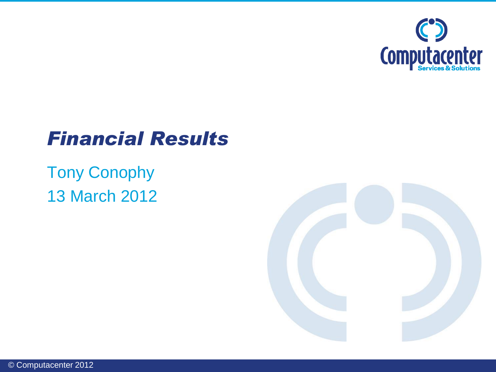

### *Financial Results*

### Tony Conophy 13 March 2012

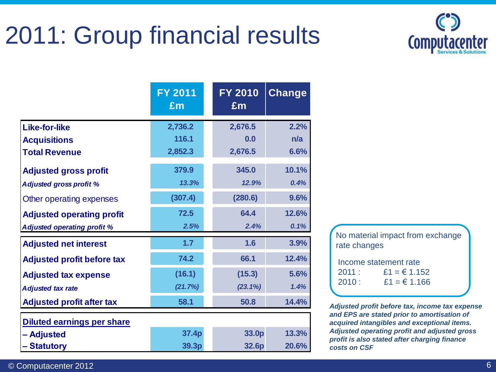### 2011: Group financial results



|                                    | <b>FY 2011</b><br>£m | <b>FY 2010</b><br>£m | <b>Change</b> |
|------------------------------------|----------------------|----------------------|---------------|
| <b>Like-for-like</b>               | 2,736.2              | 2,676.5              | 2.2%          |
| <b>Acquisitions</b>                | 116.1                | 0.0                  | n/a           |
| <b>Total Revenue</b>               | 2,852.3              | 2,676.5              | 6.6%          |
| <b>Adjusted gross profit</b>       | 379.9                | 345.0                | 10.1%         |
| <b>Adjusted gross profit %</b>     | 13.3%                | 12.9%                | 0.4%          |
| Other operating expenses           | (307.4)              | (280.6)              | 9.6%          |
| <b>Adjusted operating profit</b>   | 72.5                 | 64.4                 | 12.6%         |
| <b>Adjusted operating profit %</b> | 2.5%                 | 2.4%                 | 0.1%          |
| <b>Adjusted net interest</b>       | 1.7                  | 1.6                  | 3.9%          |
| <b>Adjusted profit before tax</b>  | 74.2                 | 66.1                 | 12.4%         |
| <b>Adjusted tax expense</b>        | (16.1)               | (15.3)               | 5.6%          |
| <b>Adjusted tax rate</b>           | (21.7%)              | (23.1%)              | 1.4%          |
| <b>Adjusted profit after tax</b>   | 58.1                 | 50.8                 | 14.4%         |
| <b>Diluted earnings per share</b>  |                      |                      |               |
| - Adjusted                         | 37.4p                | 33.0p                | 13.3%         |
| - Statutory                        | 39.3p                | 32.6p                | 20.6%         |

| No material impact from exchange |  |
|----------------------------------|--|
| rate changes                     |  |
|                                  |  |

| Income statement rate |               |  |  |  |  |
|-----------------------|---------------|--|--|--|--|
| 2011:                 | $£1 = £1.152$ |  |  |  |  |
| 2010:                 | $£1 = £1.166$ |  |  |  |  |

*Adjusted profit before tax, income tax expense and EPS are stated prior to amortisation of acquired intangibles and exceptional items. Adjusted operating profit and adjusted gross profit is also stated after charging finance costs on CSF*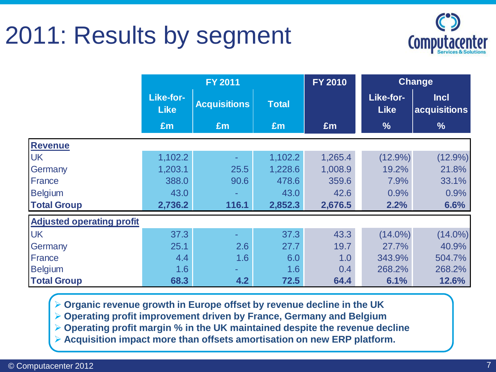### 2011: Results by segment



|                                  |                          | <b>FY 2011</b>      |              | <b>FY 2010</b> |                          | Change                      |
|----------------------------------|--------------------------|---------------------|--------------|----------------|--------------------------|-----------------------------|
|                                  | Like-for-<br><b>Like</b> | <b>Acquisitions</b> | <b>Total</b> |                | Like-for-<br><b>Like</b> | <b>Incl</b><br>acquisitions |
|                                  | £m                       | £m                  | £m           | Em             | $\frac{9}{6}$            | $\frac{9}{6}$               |
| <b>Revenue</b>                   |                          |                     |              |                |                          |                             |
| <b>UK</b>                        | 1,102.2                  |                     | 1,102.2      | 1,265.4        | $(12.9\%)$               | $(12.9\%)$                  |
| Germany                          | 1,203.1                  | 25.5                | 1,228.6      | 1,008.9        | 19.2%                    | 21.8%                       |
| France                           | 388.0                    | 90.6                | 478.6        | 359.6          | 7.9%                     | 33.1%                       |
| <b>Belgium</b>                   | 43.0                     | ÷                   | 43.0         | 42.6           | 0.9%                     | 0.9%                        |
| <b>Total Group</b>               | 2,736.2                  | 116.1               | 2,852.3      | 2,676.5        | 2.2%                     | 6.6%                        |
| <b>Adjusted operating profit</b> |                          |                     |              |                |                          |                             |
| <b>UK</b>                        | 37.3                     |                     | 37.3         | 43.3           | $(14.0\%)$               | $(14.0\%)$                  |
| Germany                          | 25.1                     | 2.6                 | 27.7         | 19.7           | 27.7%                    | 40.9%                       |
| France                           | 4.4                      | 1.6                 | 6.0          | 1.0            | 343.9%                   | 504.7%                      |
| <b>Belgium</b>                   | 1.6                      | ÷.                  | 1.6          | 0.4            | 268.2%                   | 268.2%                      |
| <b>Total Group</b>               | 68.3                     | 4.2                 | 72.5         | 64.4           | 6.1%                     | 12.6%                       |

**Organic revenue growth in Europe offset by revenue decline in the UK**

**Operating profit improvement driven by France, Germany and Belgium**

**Operating profit margin % in the UK maintained despite the revenue decline**

**Acquisition impact more than offsets amortisation on new ERP platform.**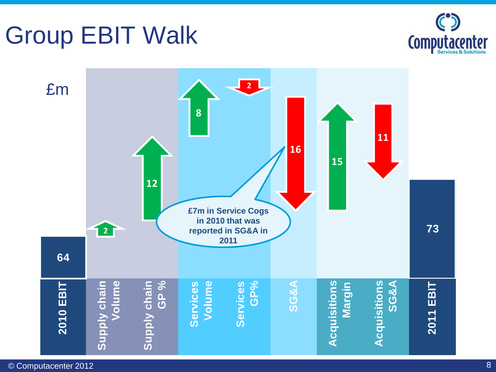### Group EBIT Walk



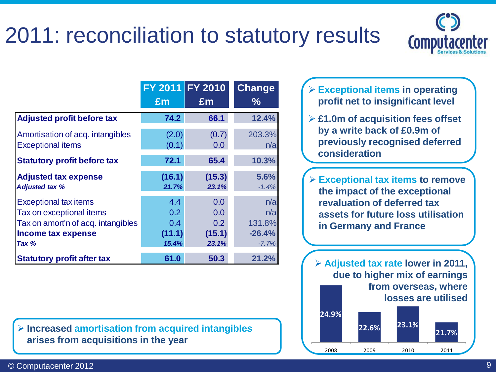### 2011: reconciliation to statutory results



|                                                                                                                                 | FY 2011 FY 2010<br>Em                             | $\mathbf{f}$ m                                    | <b>Change</b><br>$\frac{0}{0}$              |
|---------------------------------------------------------------------------------------------------------------------------------|---------------------------------------------------|---------------------------------------------------|---------------------------------------------|
| <b>Adjusted profit before tax</b>                                                                                               | 74.2                                              | 66.1                                              | 12.4%                                       |
| Amortisation of acq. intangibles<br><b>Exceptional items</b>                                                                    | (2.0)<br>(0.1)                                    | (0.7)<br>0.0                                      | 203.3%<br>n/a                               |
| <b>Statutory profit before tax</b>                                                                                              | 72.1                                              | 65.4                                              | 10.3%                                       |
| <b>Adjusted tax expense</b><br><b>Adjusted tax %</b>                                                                            | (16.1)<br>21.7%                                   | (15.3)<br>23.1%                                   | 5.6%<br>$-1.4%$                             |
| <b>Exceptional tax items</b><br>Tax on exceptional items<br>Tax on amort'n of acq. intangibles<br>Income tax expense<br>Tax $%$ | 4.4<br>0.2<br>0.4 <sub>1</sub><br>(11.1)<br>15.4% | 0.0<br>0.0<br>0.2 <sub>0</sub><br>(15.1)<br>23.1% | n/a<br>n/a<br>131.8%<br>$-26.4%$<br>$-7.7%$ |
| <b>Statutory profit after tax</b>                                                                                               | 61.0                                              | 50.3                                              | 21.2%                                       |

 **Increased amortisation from acquired intangibles arises from acquisitions in the year**

- **Exceptional items in operating profit net to insignificant level**
- **£1.0m of acquisition fees offset by a write back of £0.9m of previously recognised deferred consideration**
- **Exceptional tax items to remove the impact of the exceptional revaluation of deferred tax assets for future loss utilisation in Germany and France**

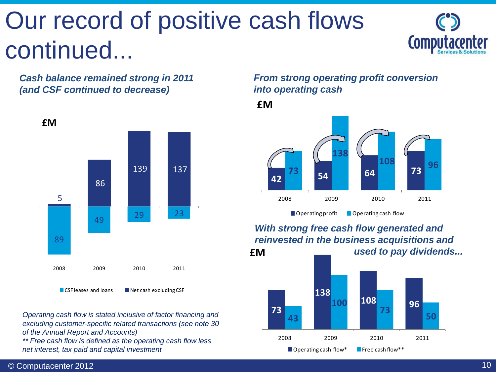# Our record of positive cash flows continued...



*Cash balance remained strong in 2011 (and CSF continued to decrease)*



 $\blacksquare$  CSF leases and loans  $\blacksquare$  Net cash excluding CSF

*Operating cash flow is stated inclusive of factor financing and excluding customer-specific related transactions (see note 30 of the Annual Report and Accounts)*

*\*\* Free cash flow is defined as the operating cash flow less net interest, tax paid and capital investment*

#### *From strong operating profit conversion into operating cash*

**£M**



**£M** *With strong free cash flow generated and reinvested in the business acquisitions and used to pay dividends...*

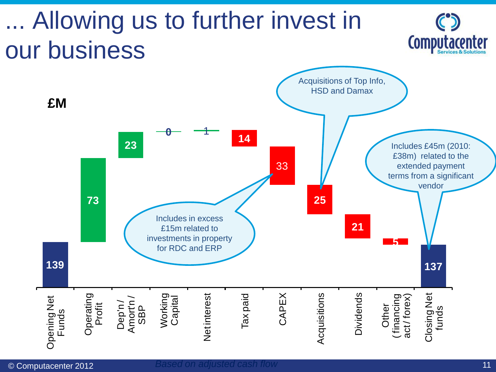# . Allowing us to further invest in our business



**Computacenter**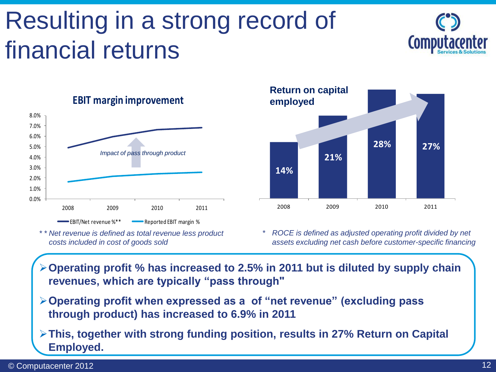### Resulting in a strong record of financial returns





#### **EBIT margin improvement**

*\* \* Net revenue is defined as total revenue less product costs included in cost of goods sold*



*\* ROCE is defined as adjusted operating profit divided by net assets excluding net cash before customer-specific financing*

- **Operating profit % has increased to 2.5% in 2011 but is diluted by supply chain revenues, which are typically "pass through"**
- **Operating profit when expressed as a of "net revenue" (excluding pass through product) has increased to 6.9% in 2011**
- **This, together with strong funding position, results in 27% Return on Capital Employed.**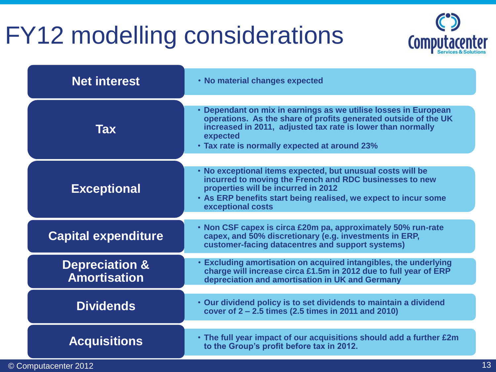### FY12 modelling considerations



| <b>Net interest</b>                              | • No material changes expected                                                                                                                                                                                                                                 |
|--------------------------------------------------|----------------------------------------------------------------------------------------------------------------------------------------------------------------------------------------------------------------------------------------------------------------|
| Tax                                              | • Dependant on mix in earnings as we utilise losses in European<br>operations. As the share of profits generated outside of the UK<br>increased in 2011, adjusted tax rate is lower than normally<br>expected<br>• Tax rate is normally expected at around 23% |
| <b>Exceptional</b>                               | . No exceptional items expected, but unusual costs will be<br>incurred to moving the French and RDC businesses to new<br>properties will be incurred in 2012<br>. As ERP benefits start being realised, we expect to incur some<br>exceptional costs           |
| <b>Capital expenditure</b>                       | • Non CSF capex is circa £20m pa, approximately 50% run-rate<br>capex, and 50% discretionary (e.g. investments in ERP,<br>customer-facing datacentres and support systems)                                                                                     |
| <b>Depreciation &amp;</b><br><b>Amortisation</b> | • Excluding amortisation on acquired intangibles, the underlying<br>charge will increase circa £1.5m in 2012 due to full year of ERP<br>depreciation and amortisation in UK and Germany                                                                        |
| <b>Dividends</b>                                 | • Our dividend policy is to set dividends to maintain a dividend<br>cover of 2 – 2.5 times (2.5 times in 2011 and 2010)                                                                                                                                        |
| <b>Acquisitions</b>                              | • The full year impact of our acquisitions should add a further £2m<br>to the Group's profit before tax in 2012.                                                                                                                                               |

© Computacenter 2012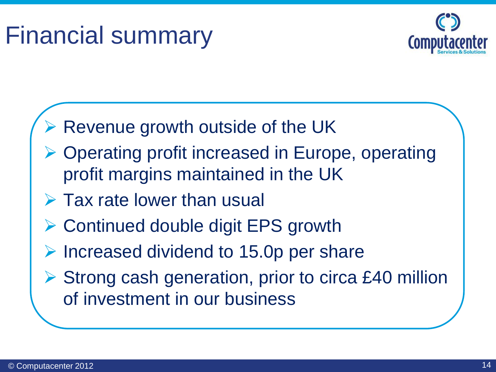### Financial summary



- **► Revenue growth outside of the UK**
- ▶ Operating profit increased in Europe, operating profit margins maintained in the UK
- $\triangleright$  Tax rate lower than usual
- **► Continued double digit EPS growth**
- $\triangleright$  Increased dividend to 15.0p per share
- $\triangleright$  Strong cash generation, prior to circa £40 million of investment in our business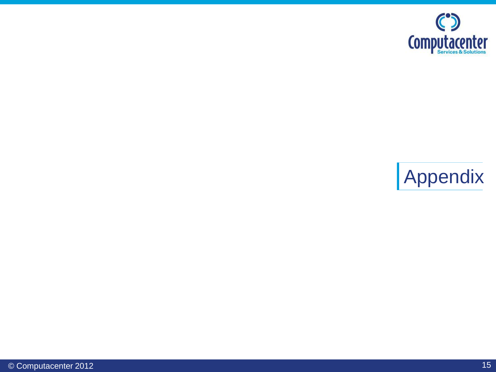

### Appendix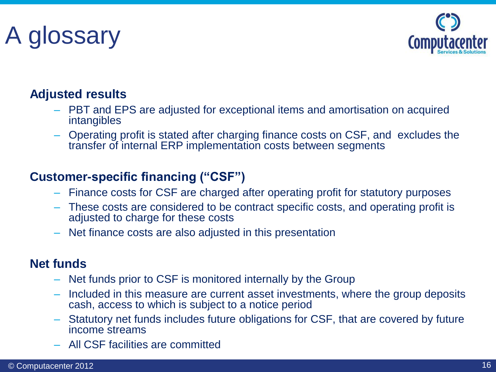# A glossary



#### **Adjusted results**

- PBT and EPS are adjusted for exceptional items and amortisation on acquired intangibles
- Operating profit is stated after charging finance costs on CSF, and excludes the transfer of internal ERP implementation costs between segments

#### **Customer-specific financing ("CSF")**

- Finance costs for CSF are charged after operating profit for statutory purposes
- These costs are considered to be contract specific costs, and operating profit is adjusted to charge for these costs
- Net finance costs are also adjusted in this presentation

#### **Net funds**

- Net funds prior to CSF is monitored internally by the Group
- Included in this measure are current asset investments, where the group deposits cash, access to which is subject to a notice period
- Statutory net funds includes future obligations for CSF, that are covered by future income streams
- All CSF facilities are committed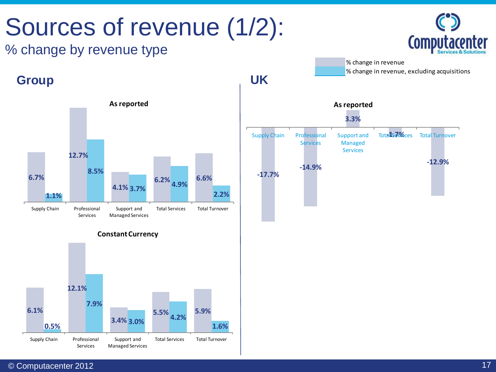# Sources of revenue (1/2):

### % change by revenue type







**Constant Currency**





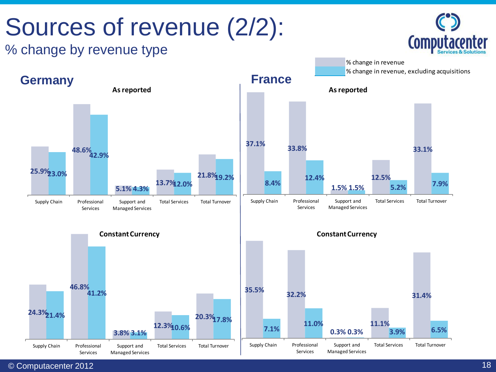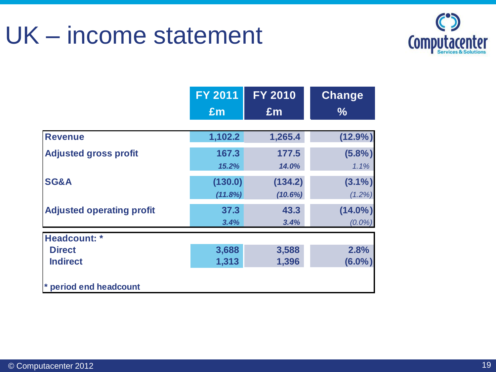### UK – income statement



|                                  | <b>FY 2011</b> | <b>FY 2010</b> | <b>Change</b> |
|----------------------------------|----------------|----------------|---------------|
|                                  | Em             | Em             | $\frac{0}{0}$ |
| <b>Revenue</b>                   | 1,102.2        | 1,265.4        | $(12.9\%)$    |
| <b>Adjusted gross profit</b>     | 167.3          | 177.5          | (5.8%)        |
|                                  | 15.2%          | 14.0%          | 1.1%          |
| SG&A                             | (130.0)        | (134.2)        | $(3.1\%)$     |
|                                  | (11.8%)        | (10.6%)        | $(1.2\%)$     |
| <b>Adjusted operating profit</b> | 37.3           | 43.3           | $(14.0\%)$    |
|                                  | 3.4%           | 3.4%           | $(0.0\%)$     |
| Headcount: *                     |                |                |               |
| <b>Direct</b>                    | 3,688          | 3,588          | 2.8%          |
| <b>Indirect</b>                  | 1,313          | 1,396          | $(6.0\%)$     |
| * period end headcount           |                |                |               |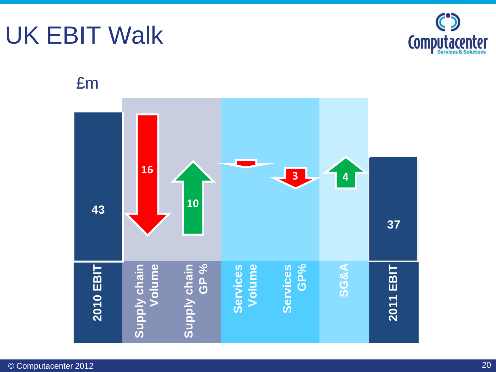### UK EBIT Walk

£m



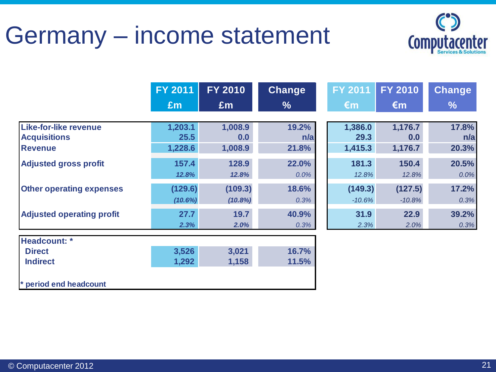### Germany – income statement



|                                                     | <b>FY 2011</b>     | <b>FY 2010</b>     | <b>Change</b>  | <b>FY 2011</b>      | <b>FY 2010</b>      | <b>Change</b> |
|-----------------------------------------------------|--------------------|--------------------|----------------|---------------------|---------------------|---------------|
|                                                     | £m                 | £m                 | $\frac{0}{6}$  | $\epsilon$ m        | $\epsilon$ m        | $\frac{6}{6}$ |
| <b>Like-for-like revenue</b><br><b>Acquisitions</b> | 1,203.1<br>25.5    | 1,008.9<br>0.0     | 19.2%<br>n/a   | 1,386.0<br>29.3     | 1,176.7<br>0.0      | 17.8%<br>n/a  |
| <b>Revenue</b>                                      | 1,228.6            | 1,008.9            | 21.8%          | 1,415.3             | 1,176.7             | 20.3%         |
| <b>Adjusted gross profit</b>                        | 157.4<br>12.8%     | 128.9<br>12.8%     | 22.0%<br>0.0%  | 181.3<br>12.8%      | 150.4<br>12.8%      | 20.5%<br>0.0% |
| <b>Other operating expenses</b>                     | (129.6)<br>(10.6%) | (109.3)<br>(10.8%) | 18.6%<br>0.3%  | (149.3)<br>$-10.6%$ | (127.5)<br>$-10.8%$ | 17.2%<br>0.3% |
| <b>Adjusted operating profit</b>                    | 27.7<br>2.3%       | 19.7<br>2.0%       | 40.9%<br>0.3%  | 31.9<br>2.3%        | 22.9<br>2.0%        | 39.2%<br>0.3% |
| Headcount: *                                        |                    |                    |                |                     |                     |               |
| <b>Direct</b><br><b>Indirect</b>                    | 3,526<br>1,292     | 3,021<br>1,158     | 16.7%<br>11.5% |                     |                     |               |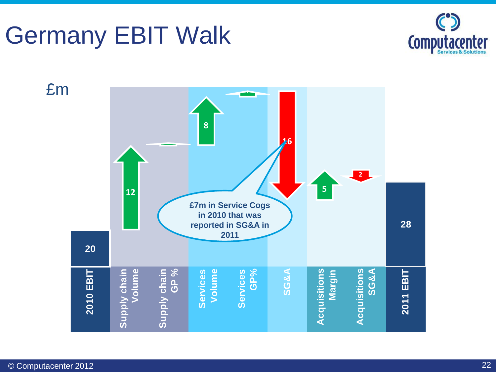### Germany EBIT Walk



£m**1 1**<br>**26 8**  $26$ **8 12 2** —<br>28 **5** 12 **20 £7m in Service Cogs in 2010 that was reported in SG&A in**  28 **2011** 20 **2010 EBIT Supply chain Volume Supply chain GP % Services Volume Services GP% SG&A Acquisitions**<br>Margin **Acquisitions Acquisitions SG&A 2011 EBIT** Acquisitions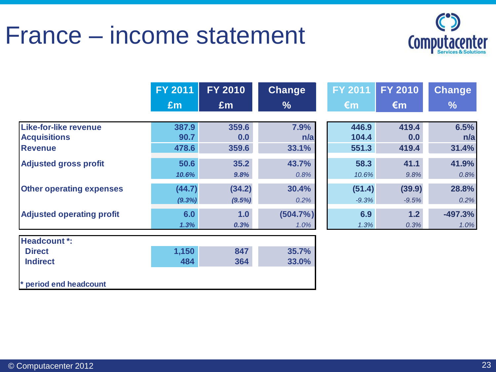### France – income statement



|                                  | <b>FY 2011</b> | <b>FY 2010</b> | Change        | <b>FY 2011</b> | <b>FY 2010</b> | <b>Change</b> |
|----------------------------------|----------------|----------------|---------------|----------------|----------------|---------------|
|                                  | Em             | Em             | $\frac{9}{6}$ | €m             | $\epsilon$ m   | $\frac{9}{6}$ |
| <b>Like-for-like revenue</b>     | 387.9          | 359.6          | 7.9%          | 446.9          | 419.4          | 6.5%          |
| <b>Acquisitions</b>              | 90.7           | 0.0            | n/a           | 104.4          | 0.0            | n/a           |
| <b>Revenue</b>                   | 478.6          | 359.6          | 33.1%         | 551.3          | 419.4          | 31.4%         |
| <b>Adjusted gross profit</b>     | 50.6           | 35.2           | 43.7%         | 58.3           | 41.1           | 41.9%         |
|                                  | 10.6%          | 9.8%           | 0.8%          | 10.6%          | 9.8%           | 0.8%          |
| <b>Other operating expenses</b>  | (44.7)         | (34.2)         | 30.4%         | (51.4)         | (39.9)         | 28.8%         |
|                                  | (9.3%)         | (9.5%)         | 0.2%          | $-9.3%$        | $-9.5%$        | 0.2%          |
| <b>Adjusted operating profit</b> | 6.0            | 1.0            | (504.7%)      | 6.9            | 1.2            | $-497.3%$     |
|                                  | 1.3%           | 0.3%           | 1.0%          | 1.3%           | 0.3%           | 1.0%          |

**\* period end headcount**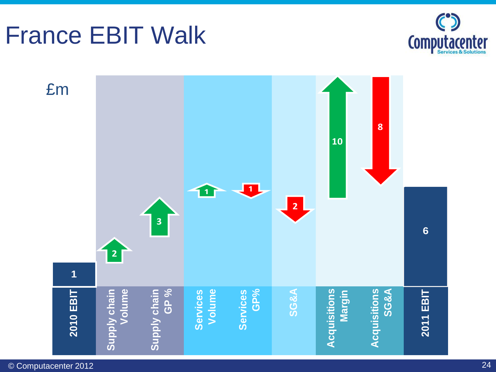#### © Computacenter 2012



### France EBIT Walk

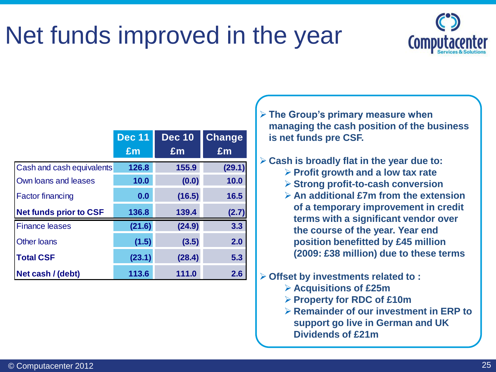### Net funds improved in the year



|                               | <b>Dec 11</b> | <b>Dec 10</b>  | <b>Change</b> |
|-------------------------------|---------------|----------------|---------------|
|                               | £m            | $\mathbf{f}$ m | £m            |
| Cash and cash equivalents     | 126.8         | 155.9          | (29.1)        |
| Own loans and leases          | 10.0          | (0.0)          | 10.0          |
| <b>Factor financing</b>       | 0.0           | (16.5)         | 16.5          |
| <b>Net funds prior to CSF</b> | 136.8         | 139.4          | (2.7)         |
| <b>Finance leases</b>         | (21.6)        | (24.9)         | 3.3           |
| <b>Other loans</b>            | (1.5)         | (3.5)          | 2.0           |
| <b>Total CSF</b>              | (23.1)        | (28.4)         | 5.3           |
| Net cash / (debt)             | 113.6         | 111.0          | 2.6           |

 **The Group's primary measure when managing the cash position of the business is net funds pre CSF.**

**Cash is broadly flat in the year due to:**

- **Profit growth and a low tax rate**
- **Strong profit-to-cash conversion**
- **An additional £7m from the extension of a temporary improvement in credit terms with a significant vendor over the course of the year. Year end position benefitted by £45 million (2009: £38 million) due to these terms**
- **Offset by investments related to :**
	- **Acquisitions of £25m**
	- **Property for RDC of £10m**
	- **Remainder of our investment in ERP to support go live in German and UK Dividends of £21m**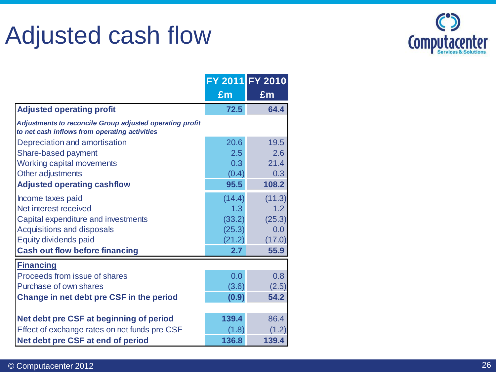### Adjusted cash flow



|                                                                                                           |                | FY 2011 FY 2010  |
|-----------------------------------------------------------------------------------------------------------|----------------|------------------|
|                                                                                                           | $\mathbf{f}$ m | £m               |
| <b>Adjusted operating profit</b>                                                                          | 72.5           | 64.4             |
| Adjustments to reconcile Group adjusted operating profit<br>to net cash inflows from operating activities |                |                  |
| Depreciation and amortisation                                                                             | 20.6           | 19.5             |
| Share-based payment                                                                                       | 2.5            | 2.6              |
| Working capital movements                                                                                 | 0.3            | 21.4             |
| Other adjustments                                                                                         | (0.4)          | 0.3              |
| <b>Adjusted operating cashflow</b>                                                                        | 95.5           | 108.2            |
| Income taxes paid                                                                                         | (14.4)         | (11.3)           |
| Net interest received                                                                                     | 1.3            | 1.2              |
| Capital expenditure and investments                                                                       | (33.2)         | (25.3)           |
| <b>Acquisitions and disposals</b>                                                                         | (25.3)         | 0.0              |
| <b>Equity dividends paid</b>                                                                              | (21.2)         | (17.0)           |
| <b>Cash out flow before financing</b>                                                                     | 2.7            | 55.9             |
| <b>Financing</b>                                                                                          |                |                  |
| Proceeds from issue of shares                                                                             | 0.0            | 0.8 <sub>0</sub> |
| Purchase of own shares                                                                                    | (3.6)          | (2.5)            |
| Change in net debt pre CSF in the period                                                                  | (0.9)          | 54.2             |
|                                                                                                           |                |                  |
| Net debt pre CSF at beginning of period                                                                   | 139.4          | 86.4             |
| Effect of exchange rates on net funds pre CSF                                                             | (1.8)          | (1.2)            |
| Net debt pre CSF at end of period                                                                         | 136.8          | 139.4            |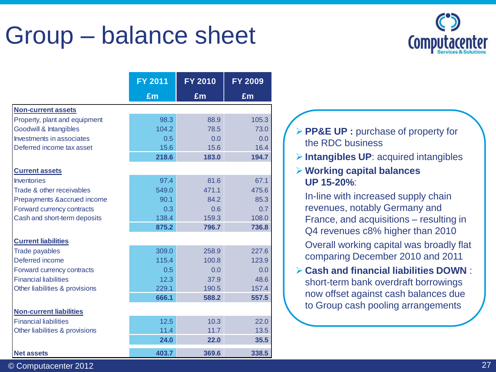### Group – balance sheet



|                                | <b>FY 2011</b> | <b>FY 2010</b> | <b>FY 2009</b> |
|--------------------------------|----------------|----------------|----------------|
|                                | £m             | £m             | £m             |
| <b>Non-current assets</b>      |                |                |                |
| Property, plant and equipment  | 98.3           | 88.9           | 105.3          |
| Goodwill & Intangibles         | 104.2          | 78.5           | 73.0           |
| Investments in associates      | 0.5            | 0.0            | 0.0            |
| Deferred income tax asset      | 15.6           | 15.6           | 16.4           |
|                                | 218.6          | 183.0          | 194.7          |
| <b>Current assets</b>          |                |                |                |
| <b>Inventories</b>             | 97.4           | 81.6           | 67.1           |
| Trade & other receivables      | 549.0          | 471.1          | 475.6          |
| Prepayments & accrued income   | 90.1           | 84.2           | 85.3           |
| Forward currency contracts     | 0.3            | 0.6            | 0.7            |
| Cash and short-term deposits   | 138.4          | 159.3          | 108.0          |
|                                | 875.2          | 796.7          | 736.8          |
| <b>Current liabilities</b>     |                |                |                |
| <b>Trade payables</b>          | 309.0          | 258.9          | 227.6          |
| Deferred income                | 115.4          | 100.8          | 123.9          |
| Forward currency contracts     | 0.5            | 0.0            | 0.0            |
| <b>Financial liabilities</b>   | 12.3           | 37.9           | 48.6           |
| Other liabilities & provisions | 229.1          | 190.5          | 157.4          |
|                                | 666.1          | 588.2          | 557.5          |
| <b>Non-current liabilities</b> |                |                |                |
| <b>Financial liabilities</b>   | 12.5           | 10.3           | 22.0           |
| Other liabilities & provisions | 11.4           | 11.7           | 13.5           |
|                                | 24.0           | 22.0           | 35.5           |
| <b>Net assets</b>              | 403.7          | 369.6          | 338.5          |

#### **PP&E UP : purchase of property for** the RDC business

**Intangibles UP**: acquired intangibles

#### **Working capital balances UP 15-20%**:

In-line with increased supply chain revenues, notably Germany and France, and acquisitions – resulting in Q4 revenues c8% higher than 2010

Overall working capital was broadly flat comparing December 2010 and 2011

 **Cash and financial liabilities DOWN** : short-term bank overdraft borrowings now offset against cash balances due to Group cash pooling arrangements

© Computacenter 2012